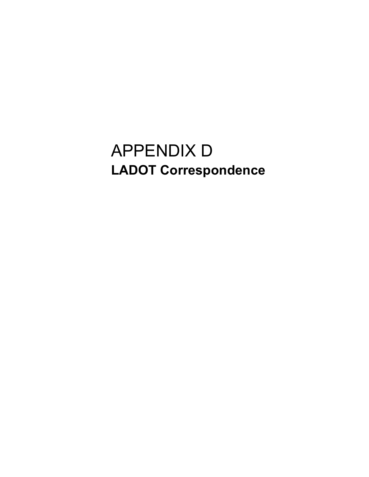## APPENDIX D LADOT Correspondence